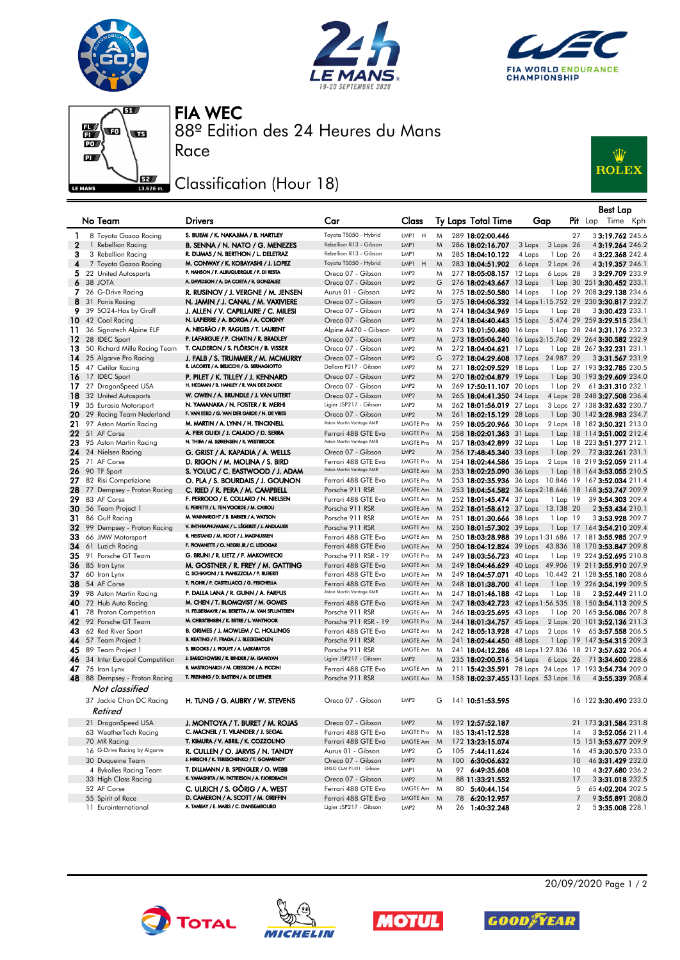







88º Edition des 24 Heures du Mans FIA WEC

## **SEE** Classification (Hour 18)

Race



|              |                                 |                                                |                          |                  |             |    |                          |                                                         |                | <b>Best Lap</b>              |  |
|--------------|---------------------------------|------------------------------------------------|--------------------------|------------------|-------------|----|--------------------------|---------------------------------------------------------|----------------|------------------------------|--|
|              | No Team                         | <b>Drivers</b>                                 | Car                      | Class            |             |    | Ty Laps Total Time       | Gap                                                     |                | Pit Lap Time Kph             |  |
| 1            | 8 Toyota Gazoo Racing           | S. BUEMI / K. NAKAJIMA / B. HARTLEY            | Toyota TS050 - Hybrid    | LMP1<br>H        | M           |    | 289 18:02:00.446         |                                                         | 27             | 33:19.762 245.6              |  |
| $\mathbf{2}$ | 1 Rebellion Racing              | B. SENNA / N. NATO / G. MENEZES                | Rebellion R13 - Gibson   | LMP1             | M           |    | 286 18:02:16.707         | 3 Laps<br>3 Laps 26                                     |                | 43:19.264 246.2              |  |
| З            | 3 Rebellion Racing              | R. DUMAS / N. BERTHON / L. DELETRAZ            | Rebellion R13 - Gibson   | LMP1             | M           |    | 285 18:04:10.122         | 4 Laps<br>1 Lap 26                                      |                | 4 3:22.368 242.4             |  |
| 4            | 7 Toyota Gazoo Racing           | M. CONWAY / K. KOBAYASHI / J. LOPEZ            | Toyota TS050 - Hybrid    | H<br>LMP1        | M           |    | 283 18:04:51.902         | 6 Laps<br>2 Laps 26                                     |                | 43:19.357 246.1              |  |
|              | 5 22 United Autosports          | P. HANSON / F. ALBUQUERQUE / P. DI RESTA       | Oreca 07 - Gibson        | LMP <sub>2</sub> | M           |    | 277 18:05:08.157 12 Laps | 6 Laps 28                                               |                | 33:29.709 233.9              |  |
| 6            | 38 JOTA                         | A. DAVIDSON / A. DA COSTA / R. GONZALEZ        | Oreca 07 - Gibson        | LMP <sub>2</sub> | G           |    | 276 18:02:43.667 13 Laps |                                                         |                | 1 Lap 30 251 3:30.452 233.1  |  |
|              | 7 26 G-Drive Racing             | R. RUSINOV / J. VERGNE / M. JENSEN             | Aurus 01 - Gibson        | LMP <sub>2</sub> | M           |    | 275 18:02:50.580 14 Laps |                                                         |                | 1 Lap 29 208 3:29.138 234.6  |  |
|              | 8 31 Panis Racing               | N. JAMIN / J. CANAL / M. VAXIVIERE             | Oreca 07 - Gibson        | LMP <sub>2</sub> | G           |    |                          | 275 18:04:06.332 14 Laps 1:15.752 29 230 3:30.817 232.7 |                |                              |  |
| 9            | 39 SO24-Has by Graff            | J. ALLEN / V. CAPILLAIRE / C. MILESI           | Oreca 07 - Gibson        | LMP <sub>2</sub> | M           |    | 274 18:04:34.969 15 Laps | 1 Lap 28                                                |                | 3 3:30.423 233.1             |  |
| 10           | 42 Cool Racing                  | N. LAPIERRE / A. BORGA / A. COIGNY             | Oreca 07 - Gibson        | LMP <sub>2</sub> | M           |    | 274 18:04:40.443 15 Laps |                                                         |                | 5.474 29 259 3:29.515 234.1  |  |
| 11.          | 36 Signatech Alpine ELF         | A. NEGRÃO / P. RAGUES / T. LAURENT             | Alpine A470 - Gibson     | LMP <sub>2</sub> | M           |    | 273 18:01:50.480 16 Laps |                                                         |                | 1 Lap 28 244 3:31.176 232.3  |  |
|              | 12 28 IDEC Sport                | P. LAFARGUE / P. CHATIN / R. BRADLEY           | Oreca 07 - Gibson        | LMP <sub>2</sub> | M           |    |                          | 273 18:05:06.240 16 Laps 3:15.760 29 264 3:30.582 232.9 |                |                              |  |
|              | 13 50 Richard Mille Racing Team | T. CALDERON / S. FLÖRSCH / B. VISSER           | Oreca 07 - Gibson        | LMP <sub>2</sub> | M           |    | 272 18:04:04.621 17 Laps |                                                         |                | 1 Lap 28 267 3:32.231 231.1  |  |
|              | 14 25 Algarve Pro Racing        | J. FALB / S. TRUMMER / M. MCMURRY              | Oreca 07 - Gibson        | LMP <sub>2</sub> | G           |    | 272 18:04:29.608 17 Laps | 24.987 29                                               |                | 33:31.567 231.9              |  |
|              | 15 47 Cetilar Racing            | R. LACORTE / A. BELICCHI / G. SERNAGIOTTO      | Dallara P217 - Gibson    | LMP <sub>2</sub> | M           |    | 271 18:02:09.529 18 Laps |                                                         |                | 1 Lap 27 193 3:32.785 230.5  |  |
|              | 16 17 IDEC Sport                | P. PILET / K. TILLEY / J. KENNARD              | Oreca 07 - Gibson        | LMP <sub>2</sub> | M           |    | 270 18:02:04.879 19 Laps |                                                         |                | 1 Lap 30 193 3:29.609 234.0  |  |
|              | 17 27 DragonSpeed USA           | H. HEDMAN / B. HANLEY / R. VAN DER ZANDE       | Oreca 07 - Gibson        | LMP <sub>2</sub> | M           |    | 269 17:50:11.107 20 Laps | 1 Lap 29                                                |                | 61 3:31.310 232.1            |  |
|              | <b>18</b> 32 United Autosports  | W. OWEN / A. BRUNDLE / J. VAN UITERT           | Oreca 07 - Gibson        | LMP <sub>2</sub> | M           |    | 265 18:04:41.350 24 Laps |                                                         |                | 4 Laps 28 248 3:27.508 236.4 |  |
| 19.          | 35 Eurasia Motorsport           | N. YAMANAKA / N. FOSTER / R. MERHI             | Ligier JSP217 - Gibson   | LMP <sub>2</sub> | M           |    | 262 18:01:56.019 27 Laps |                                                         |                | 3 Laps 27 138 3:32.632 230.7 |  |
| 20           | 29 Racing Team Nederland        | F. VAN EERD / G. VAN DER GARDE / N. DE VRIES   | Oreca 07 - Gibson        | LMP <sub>2</sub> | M           |    | 261 18:02:15.129 28 Laps |                                                         |                | 1 Lap 30 142 3:28.983 234.7  |  |
| 21           | 97 Aston Martin Racing          | M. MARTIN / A. LYNN / H. TINCKNELL             | Aston Martin Vantage AMR | LMGTE Pro        | M           |    | 259 18:05:20.966 30 Laps |                                                         |                | 2 Laps 18 182 3:50.321 213.0 |  |
| 22           | 51 AF Corse                     | A. PIER GUIDI / J. CALADO / D. SERRA           | Ferrari 488 GTE Evo      | LMGTE Pro        | M           |    | 258 18:02:01.363 31 Laps |                                                         |                | 1 Lap 18 114 3:51.002 212.4  |  |
| 23           | 95 Aston Martin Racing          | N. THIM / M. SØRENSEN / R. WESTBROOK           | Aston Martin Vantage AMR | LMGTE Pro        | M           |    | 257 18:03:42.899 32 Laps |                                                         |                | 1 Lap 18 223 3:51.277 212.1  |  |
| 24           | 24 Nielsen Racing               | G. GRIST / A. KAPADIA / A. WELLS               | Oreca 07 - Gibson        | LMP <sub>2</sub> | M           |    | 256 17:48:45.340 33 Laps |                                                         |                | 1 Lap 29 72 3:32.261 231.1   |  |
| 25           | 71 AF Corse                     | D. RIGON / M. MOLINA / S. BIRD                 | Ferrari 488 GTE Evo      | LMGTE Pro        | $M_{\odot}$ |    | 254 18:02:44.586 35 Laps |                                                         |                | 2 Laps 18 219 3:52.059 211.4 |  |
|              | 26 90 TF Sport                  | S. YOLUC / C. EASTWOOD / J. ADAM               | Aston Martin Vantage AMR | LMGTE Am         | M           |    | 253 18:02:25.090 36 Laps |                                                         |                | 1 Lap 18 164 3:53.055 210.5  |  |
|              | 27 82 Risi Competizione         | O. PLA / S. BOURDAIS / J. GOUNON               | Ferrari 488 GTE Evo      | LMGTE Pro M      |             |    | 253 18:02:35.936 36 Laps |                                                         |                | 10.846 19 167 3:52.034 211.4 |  |
| 28           | 77 Dempsey - Proton Racing      | C. RIED / R. PERA / M. CAMPBELL                | Porsche 911 RSR          | LMGTE Am         | M           |    |                          | 253 18:04:54.582 36 Laps 2:18.646 18 168 3:53.747 209.9 |                |                              |  |
| 29           | 83 AF Corse                     | F. PERRODO / E. COLLARD / N. NIELSEN           | Ferrari 488 GTE Evo      | LMGTE Am M       |             |    | 252 18:01:45.474 37 Laps | 1 Lap 19                                                |                | 39 3:54.303 209.4            |  |
|              | 30 56 Team Project 1            | E. PERFETTI / L. TEN VOORDE / M. CAIROLI       | Porsche 911 RSR          | LMGTE Am M       |             |    | 252 18:01:58.612 37 Laps | 13.138 20                                               |                | 2 3:53.434 210.1             |  |
| 31           | 86 Gulf Racing                  | M. WAINWRIGHT / B. BARKER / A. WATSON          | Porsche 911 RSR          | LMGTE Am M       |             |    | 251 18:01:30.666 38 Laps | 1 Lap 19                                                |                | 33:53.928 209.7              |  |
| 32           | 99 Dempsey - Proton Racing      | V. INTHRAPHUVASAK / L. LÉGERET / J. ANDLAUER   | Porsche 911 RSR          | LMGTE Am M       |             |    | 250 18:01:57.302 39 Laps |                                                         |                | 1 Lap 17 164 3:54.210 209.4  |  |
| 33           | 66 JMW Motorsport               | R. HEISTAND / M. ROOT / J. MAGNUSSEN           | Ferrari 488 GTE Evo      | LMGTE Am M       |             |    |                          | 250 18:03:28.988 39 Laps 1:31.686 17 181 3:55.985 207.9 |                |                              |  |
| 34           | 61 Luzich Racing                | F. PIOVANETTI / O. NEGRI JR / C. LEDOGAR       | Ferrari 488 GTE Evo      | LMGTE Am M       |             |    |                          | 250 18:04:12.824 39 Laps 43.836 18 170 3:53.847 209.8   |                |                              |  |
| 35.          | 91 Porsche GT Team              | G. BRUNI / R. LIETZ / F. MAKOWIECKI            | Porsche 911 RSR - 19     | LMGTE Pro M      |             |    | 249 18:03:56.723 40 Laps |                                                         |                | 1 Lap 19 224 3:52.695 210.8  |  |
| 36           | 85 Iron Lynx                    | M. GOSTNER / R. FREY / M. GATTING              | Ferrari 488 GTE Evo      | LMGTE Am M       |             |    | 249 18:04:46.629 40 Laps |                                                         |                | 49.906 19 211 3:55.910 207.9 |  |
|              | 37 60 Iron Lynx                 | C. SCHIAVONI / S. PIANEZZOLA / P. RUBERTI      | Ferrari 488 GTE Evo      | LMGTE Am M       |             |    | 249 18:04:57.071 40 Laps |                                                         |                | 10.442 21 128 3:55.180 208.6 |  |
| 38           | 54 AF Corse                     | T. FLOHR / F. CASTELLACCI / G. FISICHELLA      | Ferrari 488 GTE Evo      | LMGTE Am M       |             |    | 248 18:01:38.700 41 Laps |                                                         |                | 1 Lap 19 226 3:54.199 209.5  |  |
| 39           | 98 Aston Martin Racing          | P. DALLA LANA / R. GUNN / A. FARFUS            | Aston Martin Vantage AMR | LMGTE Am M       |             |    | 247 18:01:46.188 42 Laps | 1 Lap 18                                                |                | 2 3:52.449 211.0             |  |
|              | 40 72 Hub Auto Racing           | M. CHEN / T. BLOMQVIST / M. GOMES              | Ferrari 488 GTE Evo      | LMGTE Am M       |             |    |                          | 247 18:03:42.723 42 Laps 1:56.535 18 150 3:54.113 209.5 |                |                              |  |
|              | 41 78 Proton Competition        | H. FELBERMAYR / M. BERETTA / M. VAN SPLUNTEREN | Porsche 911 RSR          | LMGTE Am         | M           |    | 246 18:03:25.695 43 Laps |                                                         |                | 1 Lap 20 165 3:56.086 207.8  |  |
|              | 42 92 Porsche GT Team           | M. CHRISTENSEN / K. ESTRE / L. VANTHOOR        | Porsche 911 RSR - 19     | LMGTE Pro M      |             |    | 244 18:01:34.757 45 Laps |                                                         |                | 2 Laps 20 101 3:52.136 211.3 |  |
| 43           | 62 Red River Sport              | B. GRIMES / J. MOWLEM / C. HOLLINGS            | Ferrari 488 GTE Evo      | LMGTE Am M       |             |    | 242 18:05:13.928 47 Laps | 2 Laps 19                                               |                | 65 3:57.558 206.5            |  |
| 44           | 57 Team Project 1               | B. KEATING / F. FRAGA / J. BLEEKEMOLEN         | Porsche 911 RSR          | LMGTE Am         | M           |    | 241 18:02:44.450 48 Laps |                                                         |                | 1 Lap 19 147 3:54.315 209.3  |  |
|              | 45 89 Team Project 1            | S. BROOKS / J. PIGUET / A. LASKARATOS          | Porsche 911 RSR          | LMGTE Am M       |             |    |                          | 241 18:04:12.286 48 Laps 1:27.836 18 217 3:57.632 206.4 |                |                              |  |
|              | 46 34 Inter Europol Competition | J. SMIECHOWSKI / R. BINDER / M. ISAAKYAN       | Ligier JSP217 - Gibson   | LMP <sub>2</sub> | M           |    |                          | 235 18:02:00.516 54 Laps 6 Laps 26 71 3:34.600 228.6    |                |                              |  |
|              | $47$ 75 Iron Lynx               | R. MASTRONARDI / M. CRESSONI / A. PICCINI      | Ferrari 488 GTE Evo      | LMGTE Am         | M           |    |                          | 211 15:42:35.591 78 Laps 24 Laps 17 193 3:54.734 209.0  |                |                              |  |
|              | 48 88 Dempsey - Proton Racing   | T. PREINING / D. BASTIEN / A. DE LEENER        | Porsche 911 RSR          | LMGTE Am M       |             |    |                          | 158 18:02:37.455 131 Laps 53 Laps 16                    |                | 4 3:55.339 208.4             |  |
|              | Not classified                  |                                                |                          |                  |             |    |                          |                                                         |                |                              |  |
|              | 37 Jackie Chan DC Racing        | H. TUNG / G. AUBRY / W. STEVENS                | Oreca 07 - Gibson        | LMP <sub>2</sub> | G           |    | 141 10:51:53.595         |                                                         |                | 16 122 3:30.490 233.0        |  |
|              | Retired                         |                                                |                          |                  |             |    |                          |                                                         |                |                              |  |
|              | 21 DragonSpeed USA              | J. MONTOYA / T. BURET / M. ROJAS               | Oreca 07 - Gibson        | LMP <sub>2</sub> | M           |    | 192 12:57:52.187         |                                                         |                | 21 173 3:31.584 231.8        |  |
|              | 63 WeatherTech Racing           | C. MACNEIL / T. VILANDER / J. SEGAL            | Ferrari 488 GTE Evo      | LMGTE Pro        | M           |    | 185 13:41:12.528         |                                                         | 14             | 33:52.056 211.4              |  |
|              | 70 MR Racing                    | T. KIMURA / V. ABRIL / K. COZZOLINO            | Ferrari 488 GTE Evo      | LMGTE Am         | M           |    | 172 13:23:15.074         |                                                         |                | 15 151 3:53.677 209.9        |  |
|              | 16 G-Drive Racing by Algarve    | R. CULLEN / O. JARVIS / N. TANDY               | Aurus 01 - Gibson        | LMP <sub>2</sub> | G           |    | 105 7:44:11.624          |                                                         | 16             | 45 3:30.570 233.0            |  |
|              | 30 Duqueine Team                | J. HIRSCHI / K. TERESCHENKO / T. GOMMENDY      | Oreca 07 - Gibson        | LMP <sub>2</sub> | M           |    | 100 6:30:06.632          |                                                         | 10             | 46 3:31.429 232.0            |  |
|              | 4 Bykolles Racing Team          | T. DILLMANN / B. SPENGLER / O. WEBB            | ENSO CLM P1/01 - Gibson  | LMP1             | M           |    | 97 6:49:35.608           |                                                         | 10             | 43:27.680 236.2              |  |
|              | 33 High Class Racing            | K. YAMASHITA / M. PATTERSON / A. FJORDBACH     | Oreca 07 - Gibson        | LMP2             | M           |    | 88 11:33:21.552          |                                                         | 17             | 33:31.018 232.5              |  |
|              | 52 AF Corse                     | C. ULRICH / S. GÖRIG / A. WEST                 | Ferrari 488 GTE Evo      | LMGTE Am M       |             | 80 | 5:40:44.154              |                                                         | 5              | 65 4:02.204 202.5            |  |
|              | 55 Spirit of Race               | D. CAMERON / A. SCOTT / M. GRIFFIN             | Ferrari 488 GTE Evo      | LMGTE Am         | M           |    | 78 6:20:12.957           |                                                         | 7              | 93:55.891 208.0              |  |
|              | 11 Eurointernational            | A. TAMBAY / E. MARIS / C. D'ANSEMBOURG         | Ligier JSP217 - Gibson   | LMP <sub>2</sub> | M           |    | 26 1:40:32.248           |                                                         | $\overline{2}$ | 53:35.008 228.1              |  |









20/09/2020 Page 1 / 2